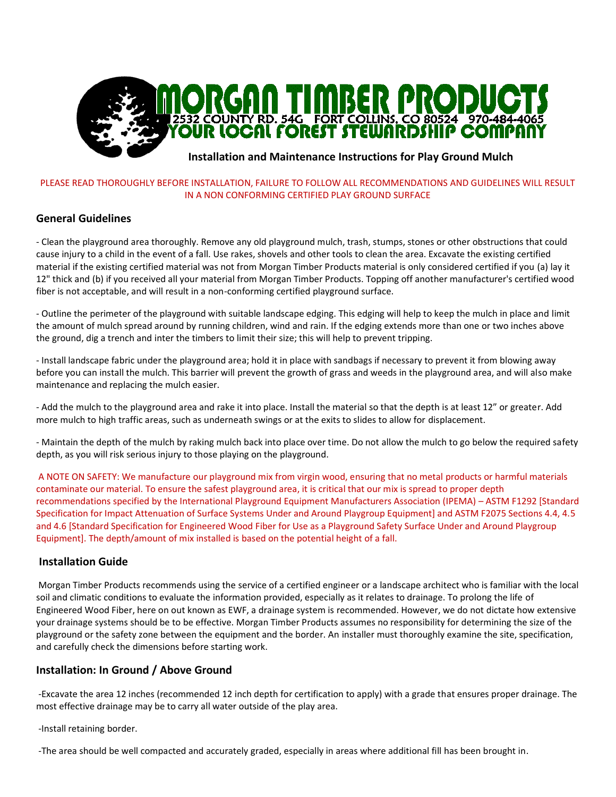

## **Installation and Maintenance Instructions for Play Ground Mulch**

#### PLEASE READ THOROUGHLY BEFORE INSTALLATION, FAILURE TO FOLLOW ALL RECOMMENDATIONS AND GUIDELINES WILL RESULT IN A NON CONFORMING CERTIFIED PLAY GROUND SURFACE

# **General Guidelines**

- Clean the playground area thoroughly. Remove any old playground mulch, trash, stumps, stones or other obstructions that could cause injury to a child in the event of a fall. Use rakes, shovels and other tools to clean the area. Excavate the existing certified material if the existing certified material was not from Morgan Timber Products material is only considered certified if you (a) lay it 12" thick and (b) if you received all your material from Morgan Timber Products. Topping off another manufacturer's certified wood fiber is not acceptable, and will result in a non-conforming certified playground surface.

- Outline the perimeter of the playground with suitable landscape edging. This edging will help to keep the mulch in place and limit the amount of mulch spread around by running children, wind and rain. If the edging extends more than one or two inches above the ground, dig a trench and inter the timbers to limit their size; this will help to prevent tripping.

- Install landscape fabric under the playground area; hold it in place with sandbags if necessary to prevent it from blowing away before you can install the mulch. This barrier will prevent the growth of grass and weeds in the playground area, and will also make maintenance and replacing the mulch easier.

- Add the mulch to the playground area and rake it into place. Install the material so that the depth is at least 12" or greater. Add more mulch to high traffic areas, such as underneath swings or at the exits to slides to allow for displacement.

- Maintain the depth of the mulch by raking mulch back into place over time. Do not allow the mulch to go below the required safety depth, as you will risk serious injury to those playing on the playground.

A NOTE ON SAFETY: We manufacture our playground mix from virgin wood, ensuring that no metal products or harmful materials contaminate our material. To ensure the safest playground area, it is critical that our mix is spread to proper depth recommendations specified by the International Playground Equipment Manufacturers Association (IPEMA) – ASTM F1292 [Standard Specification for Impact Attenuation of Surface Systems Under and Around Playgroup Equipment] and ASTM F2075 Sections 4.4, 4.5 and 4.6 [Standard Specification for Engineered Wood Fiber for Use as a Playground Safety Surface Under and Around Playgroup Equipment]. The depth/amount of mix installed is based on the potential height of a fall.

## **Installation Guide**

Morgan Timber Products recommends using the service of a certified engineer or a landscape architect who is familiar with the local soil and climatic conditions to evaluate the information provided, especially as it relates to drainage. To prolong the life of Engineered Wood Fiber, here on out known as EWF, a drainage system is recommended. However, we do not dictate how extensive your drainage systems should be to be effective. Morgan Timber Products assumes no responsibility for determining the size of the playground or the safety zone between the equipment and the border. An installer must thoroughly examine the site, specification, and carefully check the dimensions before starting work.

## **Installation: In Ground / Above Ground**

-Excavate the area 12 inches (recommended 12 inch depth for certification to apply) with a grade that ensures proper drainage. The most effective drainage may be to carry all water outside of the play area.

-Install retaining border.

-The area should be well compacted and accurately graded, especially in areas where additional fill has been brought in.